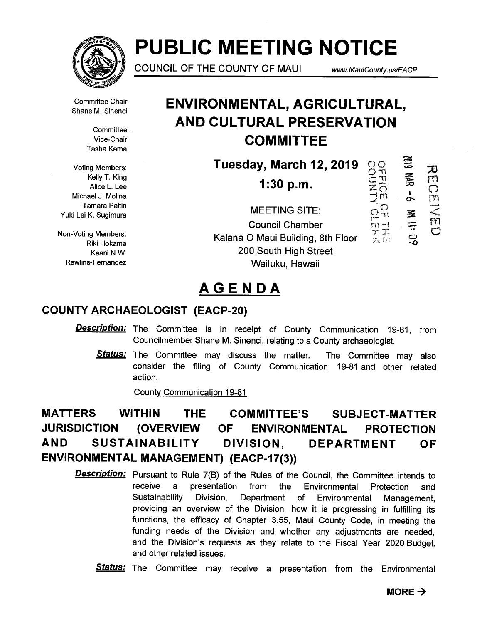

# **PUBLIC MEETING NOTICE**

**COUNCIL OF THE COUNTY OF MAUI** www.MauiCounty.us/EACP

 $\frac{0}{2}$  $\frac{5}{10}$  $\Xi$  ,

 $\widehat{\Omega}^{\mathsf{Q}}$ 

-<br>「<br>「<br>「<br>「<br>」<br>「 ŗ٣

**C=0** 

*ea,* 

**BD:11 NV** 

又<br>m

កា<br>៣

rn

Committee Chair Shane M. Sinenci

> **Committee** Vice-Chair Tasha Kama

Voting Members: Kelly T. King Alice L. Lee Michael J. Molina Tamara Paltin Yuki Lei K. Sugimura

Non-Voting Members: Riki Hokama Keani N.W. Rawlins-Fernandez

# **ENVIRONMENTAL, AGRICULTURAL, AND CULTURAL PRESERVATION COMMITTEE**

**Tuesday, March 12, 2019** 

**1:30 p.m.** 

**MEETING SITE: Council Chamber Kalana 0 Maui Building, 8th Floor 200 South High Street Wailuku, Hawaii** 

# **AGENDA**

### **COUNTY ARCHAEOLOGIST (EACP-20)**

- **Description:** The Committee is in receipt of County Communication 19-81, from Councilmember Shane M. Sinenci, relating to a County archaeologist.
	- Status: The Committee may discuss the matter. The Committee may also consider the filing of County Communication 19-81 and other related action.

County Communication 19-81

# **MATTERS WITHIN THE COMMITTEE'S SUBJECT-MATTER JURISDICTION (OVERVIEW OF ENVIRONMENTAL PROTECTION AND SUSTAINABILITY DIVISION, DEPARTMENT OF ENVIRONMENTAL MANAGEMENT) (EACP-17(3))**

**Description:**  Pursuant to Rule 7(B) of the Rules of the Council, the Committee intends to receive a presentation from the Environmental Protection and Sustainability Division, Department of Environmental Management, providing an overview of the Division, how it is progressing in fulfilling its functions, the efficacy of Chapter 3.55, Maui County Code, in meeting the funding needs of the Division and whether any adjustments are needed, and the Division's requests as they relate to the Fiscal Year 2020 Budget, and other related issues.

**Status:**  The Committee may receive a presentation from the Environmental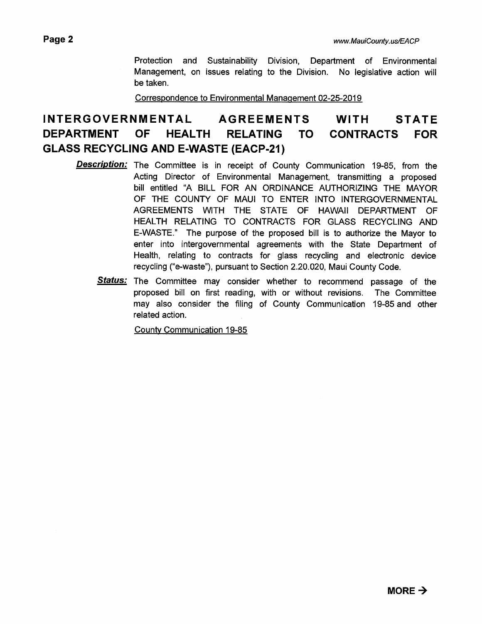Protection and Sustainability Division, Department of Environmental Management, on issues relating to the Division. No legislative action will be taken.

Correspondence to Environmental Management 02-25-2019

# **INTERGOVERNMENTAL AGREEMENTS WITH STATE DEPARTMENT OF HEALTH RELATING TO CONTRACTS FOR GLASS RECYCLING AND E-WASTE (EACP-21)**

- **Description:**  The Committee is in receipt of County Communication 19-85, from the Acting Director of Environmental Management, transmitting a proposed bill entitled "A BILL FOR AN ORDINANCE AUTHORIZING THE MAYOR OF THE COUNTY OF MAUI TO ENTER INTO INTERGOVERNMENTAL AGREEMENTS WITH THE STATE OF HAWAII DEPARTMENT OF HEALTH RELATING TO CONTRACTS FOR GLASS RECYCLING AND E-WASTE." The purpose of the proposed bill is to authorize the Mayor to enter into intergovernmental agreements with the State Department of Health, relating to contracts for glass recycling and electronic device recycling ("e-waste"), pursuant to Section 2.20.020, Maui County Code.
	- **Status:**  The Committee may consider whether to recommend passage of the proposed bill on first reading, with or without revisions. The Committee may also consider the filing of County Communication 19-85 and other related action.

County Communication 19-85